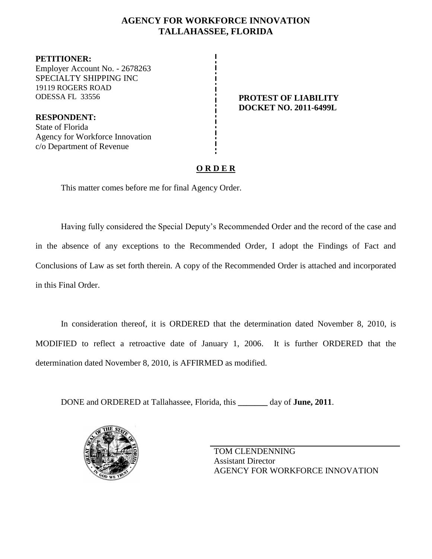## **AGENCY FOR WORKFORCE INNOVATION TALLAHASSEE, FLORIDA**

**PETITIONER:** Employer Account No. - 2678263 SPECIALTY SHIPPING INC 19119 ROGERS ROAD ODESSA FL 33556 **PROTEST OF LIABILITY**

**RESPONDENT:** State of Florida Agency for Workforce Innovation c/o Department of Revenue

**DOCKET NO. 2011-6499L**

## **O R D E R**

This matter comes before me for final Agency Order.

Having fully considered the Special Deputy's Recommended Order and the record of the case and in the absence of any exceptions to the Recommended Order, I adopt the Findings of Fact and Conclusions of Law as set forth therein. A copy of the Recommended Order is attached and incorporated in this Final Order.

In consideration thereof, it is ORDERED that the determination dated November 8, 2010, is MODIFIED to reflect a retroactive date of January 1, 2006. It is further ORDERED that the determination dated November 8, 2010, is AFFIRMED as modified.

DONE and ORDERED at Tallahassee, Florida, this **\_\_\_\_\_\_\_** day of **June, 2011**.



TOM CLENDENNING Assistant Director AGENCY FOR WORKFORCE INNOVATION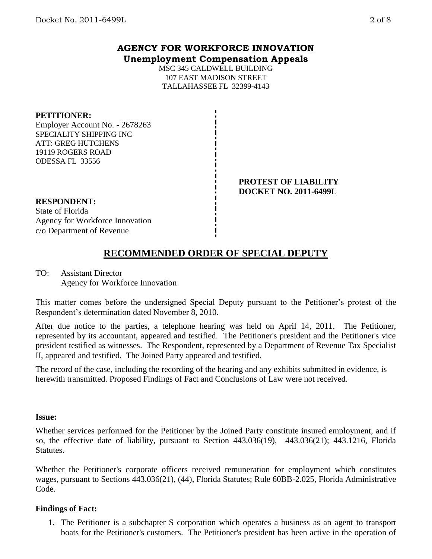### **AGENCY FOR WORKFORCE INNOVATION Unemployment Compensation Appeals**

MSC 345 CALDWELL BUILDING 107 EAST MADISON STREET TALLAHASSEE FL 32399-4143

### **PETITIONER:**

Employer Account No. - 2678263 SPECIALITY SHIPPING INC ATT: GREG HUTCHENS 19119 ROGERS ROAD ODESSA FL 33556

> **PROTEST OF LIABILITY DOCKET NO. 2011-6499L**

**RESPONDENT:**

State of Florida Agency for Workforce Innovation c/o Department of Revenue

# **RECOMMENDED ORDER OF SPECIAL DEPUTY**

TO: Assistant Director Agency for Workforce Innovation

This matter comes before the undersigned Special Deputy pursuant to the Petitioner's protest of the Respondent's determination dated November 8, 2010.

After due notice to the parties, a telephone hearing was held on April 14, 2011. The Petitioner, represented by its accountant, appeared and testified. The Petitioner's president and the Petitioner's vice president testified as witnesses. The Respondent, represented by a Department of Revenue Tax Specialist II, appeared and testified. The Joined Party appeared and testified.

The record of the case, including the recording of the hearing and any exhibits submitted in evidence, is herewith transmitted. Proposed Findings of Fact and Conclusions of Law were not received.

#### **Issue:**

Whether services performed for the Petitioner by the Joined Party constitute insured employment, and if so, the effective date of liability, pursuant to Section 443.036(19), 443.036(21); 443.1216, Florida Statutes.

Whether the Petitioner's corporate officers received remuneration for employment which constitutes wages, pursuant to Sections 443.036(21), (44), Florida Statutes; Rule 60BB-2.025, Florida Administrative Code.

### **Findings of Fact:**

1. The Petitioner is a subchapter S corporation which operates a business as an agent to transport boats for the Petitioner's customers. The Petitioner's president has been active in the operation of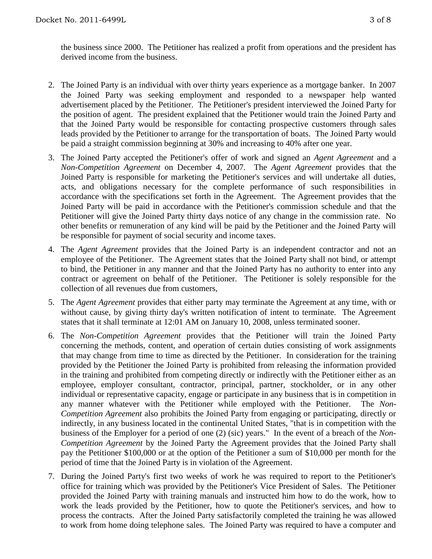the business since 2000. The Petitioner has realized a profit from operations and the president has derived income from the business.

- 2. The Joined Party is an individual with over thirty years experience as a mortgage banker. In 2007 the Joined Party was seeking employment and responded to a newspaper help wanted advertisement placed by the Petitioner. The Petitioner's president interviewed the Joined Party for the position of agent. The president explained that the Petitioner would train the Joined Party and that the Joined Party would be responsible for contacting prospective customers through sales leads provided by the Petitioner to arrange for the transportation of boats. The Joined Party would be paid a straight commission beginning at 30% and increasing to 40% after one year.
- 3. The Joined Party accepted the Petitioner's offer of work and signed an *Agent Agreement* and a *Non-Competition Agreement* on December 4, 2007. The *Agent Agreement* provides that the Joined Party is responsible for marketing the Petitioner's services and will undertake all duties, acts, and obligations necessary for the complete performance of such responsibilities in accordance with the specifications set forth in the Agreement. The Agreement provides that the Joined Party will be paid in accordance with the Petitioner's commission schedule and that the Petitioner will give the Joined Party thirty days notice of any change in the commission rate. No other benefits or remuneration of any kind will be paid by the Petitioner and the Joined Party will be responsible for payment of social security and income taxes.
- 4. The *Agent Agreement* provides that the Joined Party is an independent contractor and not an employee of the Petitioner. The Agreement states that the Joined Party shall not bind, or attempt to bind, the Petitioner in any manner and that the Joined Party has no authority to enter into any contract or agreement on behalf of the Petitioner. The Petitioner is solely responsible for the collection of all revenues due from customers,
- 5. The *Agent Agreement* provides that either party may terminate the Agreement at any time, with or without cause, by giving thirty day's written notification of intent to terminate. The Agreement states that it shall terminate at 12:01 AM on January 10, 2008, unless terminated sooner.
- 6. The *Non-Competition Agreement* provides that the Petitioner will train the Joined Party concerning the methods, content, and operation of certain duties consisting of work assignments that may change from time to time as directed by the Petitioner. In consideration for the training provided by the Petitioner the Joined Party is prohibited from releasing the information provided in the training and prohibited from competing directly or indirectly with the Petitioner either as an employee, employer consultant, contractor, principal, partner, stockholder, or in any other individual or representative capacity, engage or participate in any business that is in competition in any manner whatever with the Petitioner while employed with the Petitioner. The *Non-Competition Agreement* also prohibits the Joined Party from engaging or participating, directly or indirectly, in any business located in the continental United States, "that is in competition with the business of the Employer for a period of one (2) (sic) years." In the event of a breach of the *Non-Competition Agreement* by the Joined Party the Agreement provides that the Joined Party shall pay the Petitioner \$100,000 or at the option of the Petitioner a sum of \$10,000 per month for the period of time that the Joined Party is in violation of the Agreement.
- 7. During the Joined Party's first two weeks of work he was required to report to the Petitioner's office for training which was provided by the Petitioner's Vice President of Sales. The Petitioner provided the Joined Party with training manuals and instructed him how to do the work, how to work the leads provided by the Petitioner, how to quote the Petitioner's services, and how to process the contracts. After the Joined Party satisfactorily completed the training he was allowed to work from home doing telephone sales. The Joined Party was required to have a computer and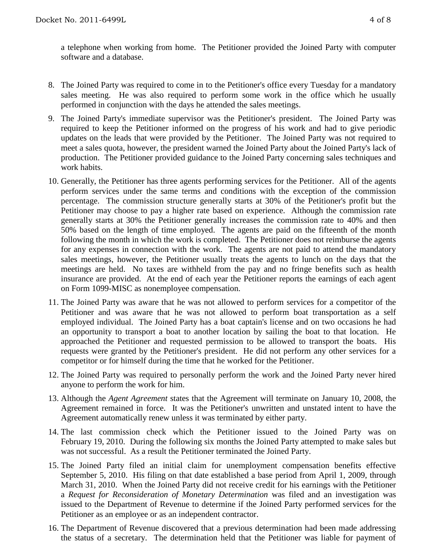a telephone when working from home. The Petitioner provided the Joined Party with computer software and a database.

- 8. The Joined Party was required to come in to the Petitioner's office every Tuesday for a mandatory sales meeting. He was also required to perform some work in the office which he usually performed in conjunction with the days he attended the sales meetings.
- 9. The Joined Party's immediate supervisor was the Petitioner's president. The Joined Party was required to keep the Petitioner informed on the progress of his work and had to give periodic updates on the leads that were provided by the Petitioner. The Joined Party was not required to meet a sales quota, however, the president warned the Joined Party about the Joined Party's lack of production. The Petitioner provided guidance to the Joined Party concerning sales techniques and work habits.
- 10. Generally, the Petitioner has three agents performing services for the Petitioner. All of the agents perform services under the same terms and conditions with the exception of the commission percentage. The commission structure generally starts at 30% of the Petitioner's profit but the Petitioner may choose to pay a higher rate based on experience. Although the commission rate generally starts at 30% the Petitioner generally increases the commission rate to 40% and then 50% based on the length of time employed. The agents are paid on the fifteenth of the month following the month in which the work is completed. The Petitioner does not reimburse the agents for any expenses in connection with the work. The agents are not paid to attend the mandatory sales meetings, however, the Petitioner usually treats the agents to lunch on the days that the meetings are held. No taxes are withheld from the pay and no fringe benefits such as health insurance are provided. At the end of each year the Petitioner reports the earnings of each agent on Form 1099-MISC as nonemployee compensation.
- 11. The Joined Party was aware that he was not allowed to perform services for a competitor of the Petitioner and was aware that he was not allowed to perform boat transportation as a self employed individual. The Joined Party has a boat captain's license and on two occasions he had an opportunity to transport a boat to another location by sailing the boat to that location. He approached the Petitioner and requested permission to be allowed to transport the boats. His requests were granted by the Petitioner's president. He did not perform any other services for a competitor or for himself during the time that he worked for the Petitioner.
- 12. The Joined Party was required to personally perform the work and the Joined Party never hired anyone to perform the work for him.
- 13. Although the *Agent Agreement* states that the Agreement will terminate on January 10, 2008, the Agreement remained in force. It was the Petitioner's unwritten and unstated intent to have the Agreement automatically renew unless it was terminated by either party.
- 14. The last commission check which the Petitioner issued to the Joined Party was on February 19, 2010. During the following six months the Joined Party attempted to make sales but was not successful. As a result the Petitioner terminated the Joined Party.
- 15. The Joined Party filed an initial claim for unemployment compensation benefits effective September 5, 2010. His filing on that date established a base period from April 1, 2009, through March 31, 2010. When the Joined Party did not receive credit for his earnings with the Petitioner a *Request for Reconsideration of Monetary Determination* was filed and an investigation was issued to the Department of Revenue to determine if the Joined Party performed services for the Petitioner as an employee or as an independent contractor.
- 16. The Department of Revenue discovered that a previous determination had been made addressing the status of a secretary. The determination held that the Petitioner was liable for payment of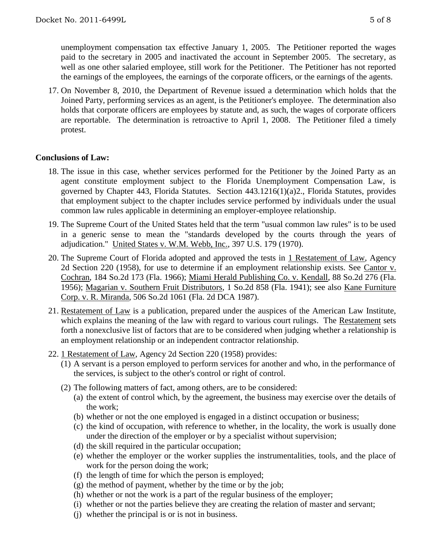unemployment compensation tax effective January 1, 2005. The Petitioner reported the wages paid to the secretary in 2005 and inactivated the account in September 2005. The secretary, as well as one other salaried employee, still work for the Petitioner. The Petitioner has not reported the earnings of the employees, the earnings of the corporate officers, or the earnings of the agents.

17. On November 8, 2010, the Department of Revenue issued a determination which holds that the Joined Party, performing services as an agent, is the Petitioner's employee. The determination also holds that corporate officers are employees by statute and, as such, the wages of corporate officers are reportable. The determination is retroactive to April 1, 2008. The Petitioner filed a timely protest.

### **Conclusions of Law:**

- 18. The issue in this case, whether services performed for the Petitioner by the Joined Party as an agent constitute employment subject to the Florida Unemployment Compensation Law, is governed by Chapter 443, Florida Statutes. Section 443.1216(1)(a)2., Florida Statutes, provides that employment subject to the chapter includes service performed by individuals under the usual common law rules applicable in determining an employer-employee relationship.
- 19. The Supreme Court of the United States held that the term "usual common law rules" is to be used in a generic sense to mean the "standards developed by the courts through the years of adjudication." United States v. W.M. Webb, Inc., 397 U.S. 179 (1970).
- 20. The Supreme Court of Florida adopted and approved the tests in 1 Restatement of Law, Agency 2d Section 220 (1958), for use to determine if an employment relationship exists. See Cantor v. Cochran, 184 So.2d 173 (Fla. 1966); Miami Herald Publishing Co. v. Kendall, 88 So.2d 276 (Fla. 1956); Magarian v. Southern Fruit Distributors, 1 So.2d 858 (Fla. 1941); see also Kane Furniture Corp. v. R. Miranda, 506 So.2d 1061 (Fla. 2d DCA 1987).
- 21. Restatement of Law is a publication, prepared under the auspices of the American Law Institute, which explains the meaning of the law with regard to various court rulings. The Restatement sets forth a nonexclusive list of factors that are to be considered when judging whether a relationship is an employment relationship or an independent contractor relationship.
- 22. 1 Restatement of Law, Agency 2d Section 220 (1958) provides:
	- (1) A servant is a person employed to perform services for another and who, in the performance of the services, is subject to the other's control or right of control.
	- (2) The following matters of fact, among others, are to be considered:
		- (a) the extent of control which, by the agreement, the business may exercise over the details of the work;
		- (b) whether or not the one employed is engaged in a distinct occupation or business;
		- (c) the kind of occupation, with reference to whether, in the locality, the work is usually done under the direction of the employer or by a specialist without supervision;
		- (d) the skill required in the particular occupation;
		- (e) whether the employer or the worker supplies the instrumentalities, tools, and the place of work for the person doing the work;
		- (f) the length of time for which the person is employed;
		- $(g)$  the method of payment, whether by the time or by the job;
		- (h) whether or not the work is a part of the regular business of the employer;
		- (i) whether or not the parties believe they are creating the relation of master and servant;
		- (j) whether the principal is or is not in business.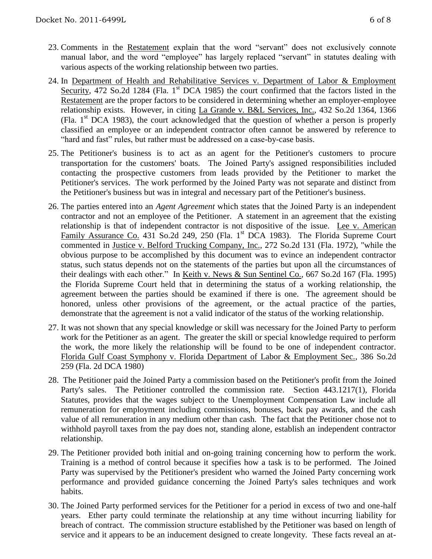- 23. Comments in the Restatement explain that the word "servant" does not exclusively connote manual labor, and the word "employee" has largely replaced "servant" in statutes dealing with various aspects of the working relationship between two parties.
- 24. In Department of Health and Rehabilitative Services v. Department of Labor & Employment Security, 472 So.2d 1284 (Fla. 1<sup>st</sup> DCA 1985) the court confirmed that the factors listed in the Restatement are the proper factors to be considered in determining whether an employer-employee relationship exists. However, in citing La Grande v. B&L Services, Inc., 432 So.2d 1364, 1366 (Fla.  $1<sup>st</sup>$  DCA 1983), the court acknowledged that the question of whether a person is properly classified an employee or an independent contractor often cannot be answered by reference to "hard and fast" rules, but rather must be addressed on a case-by-case basis.
- 25. The Petitioner's business is to act as an agent for the Petitioner's customers to procure transportation for the customers' boats. The Joined Party's assigned responsibilities included contacting the prospective customers from leads provided by the Petitioner to market the Petitioner's services. The work performed by the Joined Party was not separate and distinct from the Petitioner's business but was in integral and necessary part of the Petitioner's business.
- 26. The parties entered into an *Agent Agreement* which states that the Joined Party is an independent contractor and not an employee of the Petitioner. A statement in an agreement that the existing relationship is that of independent contractor is not dispositive of the issue. Lee v. American Family Assurance Co. 431 So.2d 249, 250 (Fla. 1st DCA 1983). The Florida Supreme Court commented in Justice v. Belford Trucking Company, Inc., 272 So.2d 131 (Fla. 1972), "while the obvious purpose to be accomplished by this document was to evince an independent contractor status, such status depends not on the statements of the parties but upon all the circumstances of their dealings with each other." In <u>Keith v. News & Sun Sentinel Co.</u>, 667 So.2d 167 (Fla. 1995) the Florida Supreme Court held that in determining the status of a working relationship, the agreement between the parties should be examined if there is one. The agreement should be honored, unless other provisions of the agreement, or the actual practice of the parties, demonstrate that the agreement is not a valid indicator of the status of the working relationship.
- 27. It was not shown that any special knowledge or skill was necessary for the Joined Party to perform work for the Petitioner as an agent. The greater the skill or special knowledge required to perform the work, the more likely the relationship will be found to be one of independent contractor. Florida Gulf Coast Symphony v. Florida Department of Labor & Employment Sec., 386 So.2d 259 (Fla. 2d DCA 1980)
- 28. The Petitioner paid the Joined Party a commission based on the Petitioner's profit from the Joined Party's sales. The Petitioner controlled the commission rate. Section 443.1217(1), Florida Statutes, provides that the wages subject to the Unemployment Compensation Law include all remuneration for employment including commissions, bonuses, back pay awards, and the cash value of all remuneration in any medium other than cash. The fact that the Petitioner chose not to withhold payroll taxes from the pay does not, standing alone, establish an independent contractor relationship.
- 29. The Petitioner provided both initial and on-going training concerning how to perform the work. Training is a method of control because it specifies how a task is to be performed. The Joined Party was supervised by the Petitioner's president who warned the Joined Party concerning work performance and provided guidance concerning the Joined Party's sales techniques and work habits.
- 30. The Joined Party performed services for the Petitioner for a period in excess of two and one-half years. Ether party could terminate the relationship at any time without incurring liability for breach of contract. The commission structure established by the Petitioner was based on length of service and it appears to be an inducement designed to create longevity. These facts reveal an at-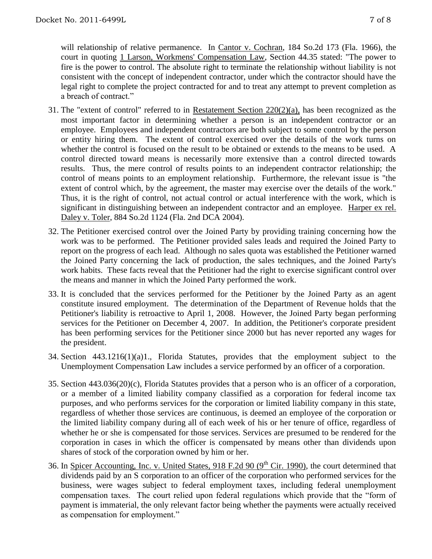will relationship of relative permanence. In Cantor v. Cochran, 184 So.2d 173 (Fla. 1966), the court in quoting 1 Larson, Workmens' Compensation Law, Section 44.35 stated: "The power to fire is the power to control. The absolute right to terminate the relationship without liability is not consistent with the concept of independent contractor, under which the contractor should have the legal right to complete the project contracted for and to treat any attempt to prevent completion as a breach of contract."

- 31. The "extent of control" referred to in Restatement Section 220(2)(a), has been recognized as the most important factor in determining whether a person is an independent contractor or an employee. Employees and independent contractors are both subject to some control by the person or entity hiring them. The extent of control exercised over the details of the work turns on whether the control is focused on the result to be obtained or extends to the means to be used. A control directed toward means is necessarily more extensive than a control directed towards results. Thus, the mere control of results points to an independent contractor relationship; the control of means points to an employment relationship. Furthermore, the relevant issue is "the extent of control which, by the agreement, the master may exercise over the details of the work." Thus, it is the right of control, not actual control or actual interference with the work, which is significant in distinguishing between an independent contractor and an employee. Harper ex rel. Daley v. Toler, 884 So.2d 1124 (Fla. 2nd DCA 2004).
- 32. The Petitioner exercised control over the Joined Party by providing training concerning how the work was to be performed. The Petitioner provided sales leads and required the Joined Party to report on the progress of each lead. Although no sales quota was established the Petitioner warned the Joined Party concerning the lack of production, the sales techniques, and the Joined Party's work habits. These facts reveal that the Petitioner had the right to exercise significant control over the means and manner in which the Joined Party performed the work.
- 33. It is concluded that the services performed for the Petitioner by the Joined Party as an agent constitute insured employment. The determination of the Department of Revenue holds that the Petitioner's liability is retroactive to April 1, 2008. However, the Joined Party began performing services for the Petitioner on December 4, 2007. In addition, the Petitioner's corporate president has been performing services for the Petitioner since 2000 but has never reported any wages for the president.
- 34. Section 443.1216(1)(a)1., Florida Statutes, provides that the employment subject to the Unemployment Compensation Law includes a service performed by an officer of a corporation.
- 35. Section 443.036(20)(c), Florida Statutes provides that a person who is an officer of a corporation, or a member of a limited liability company classified as a corporation for federal income tax purposes, and who performs services for the corporation or limited liability company in this state, regardless of whether those services are continuous, is deemed an employee of the corporation or the limited liability company during all of each week of his or her tenure of office, regardless of whether he or she is compensated for those services. Services are presumed to be rendered for the corporation in cases in which the officer is compensated by means other than dividends upon shares of stock of the corporation owned by him or her.
- 36. In Spicer Accounting, Inc. v. United States, 918 F.2d 90 (9<sup>th</sup> Cir. 1990), the court determined that dividends paid by an S corporation to an officer of the corporation who performed services for the business, were wages subject to federal employment taxes, including federal unemployment compensation taxes. The court relied upon federal regulations which provide that the "form of payment is immaterial, the only relevant factor being whether the payments were actually received as compensation for employment."